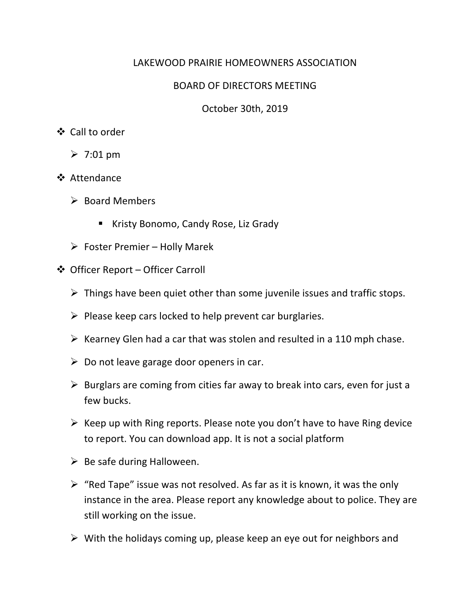## LAKEWOOD PRAIRIE HOMEOWNERS ASSOCIATION

## BOARD OF DIRECTORS MEETING

October 30th, 2019

## ❖ Call to order

- $\geq 7:01$  pm
- v Attendance
	- $\triangleright$  Board Members
		- Kristy Bonomo, Candy Rose, Liz Grady
	- $\triangleright$  Foster Premier Holly Marek
- v Officer Report Officer Carroll
	- $\triangleright$  Things have been quiet other than some juvenile issues and traffic stops.
	- $\triangleright$  Please keep cars locked to help prevent car burglaries.
	- $\triangleright$  Kearney Glen had a car that was stolen and resulted in a 110 mph chase.
	- $\triangleright$  Do not leave garage door openers in car.
	- $\triangleright$  Burglars are coming from cities far away to break into cars, even for just a few bucks.
	- $\triangleright$  Keep up with Ring reports. Please note you don't have to have Ring device to report. You can download app. It is not a social platform
	- $\triangleright$  Be safe during Halloween.
	- $\triangleright$  "Red Tape" issue was not resolved. As far as it is known, it was the only instance in the area. Please report any knowledge about to police. They are still working on the issue.
	- $\triangleright$  With the holidays coming up, please keep an eye out for neighbors and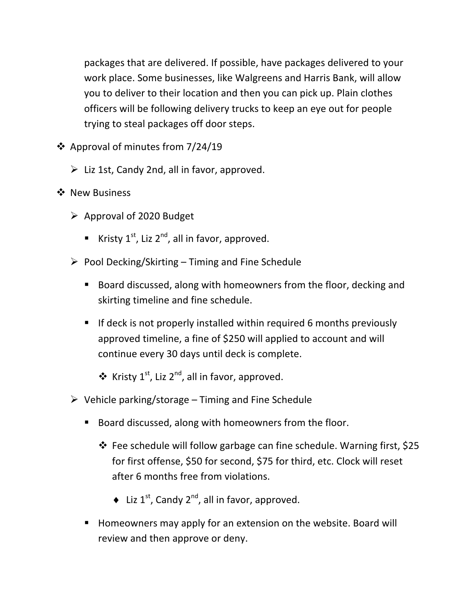packages that are delivered. If possible, have packages delivered to your work place. Some businesses, like Walgreens and Harris Bank, will allow you to deliver to their location and then you can pick up. Plain clothes officers will be following delivery trucks to keep an eye out for people trying to steal packages off door steps.

- $\div$  Approval of minutes from 7/24/19
	- $\triangleright$  Liz 1st, Candy 2nd, all in favor, approved.
- ❖ New Business
	- $\triangleright$  Approval of 2020 Budget
		- Kristy  $1^{st}$ , Liz  $2^{nd}$ , all in favor, approved.
	- $\triangleright$  Pool Decking/Skirting Timing and Fine Schedule
		- Board discussed, along with homeowners from the floor, decking and skirting timeline and fine schedule.
		- **F** If deck is not properly installed within required 6 months previously approved timeline, a fine of \$250 will applied to account and will continue every 30 days until deck is complete.
			- $\triangleq$  Kristy 1<sup>st</sup>, Liz 2<sup>nd</sup>, all in favor, approved.
	- $\triangleright$  Vehicle parking/storage Timing and Fine Schedule
		- Board discussed, along with homeowners from the floor.
			- $\cdot$  Fee schedule will follow garbage can fine schedule. Warning first, \$25 for first offense, \$50 for second, \$75 for third, etc. Clock will reset after 6 months free from violations.
				- $\triangleq$  Liz 1<sup>st</sup>, Candy 2<sup>nd</sup>, all in favor, approved.
		- Homeowners may apply for an extension on the website. Board will review and then approve or deny.